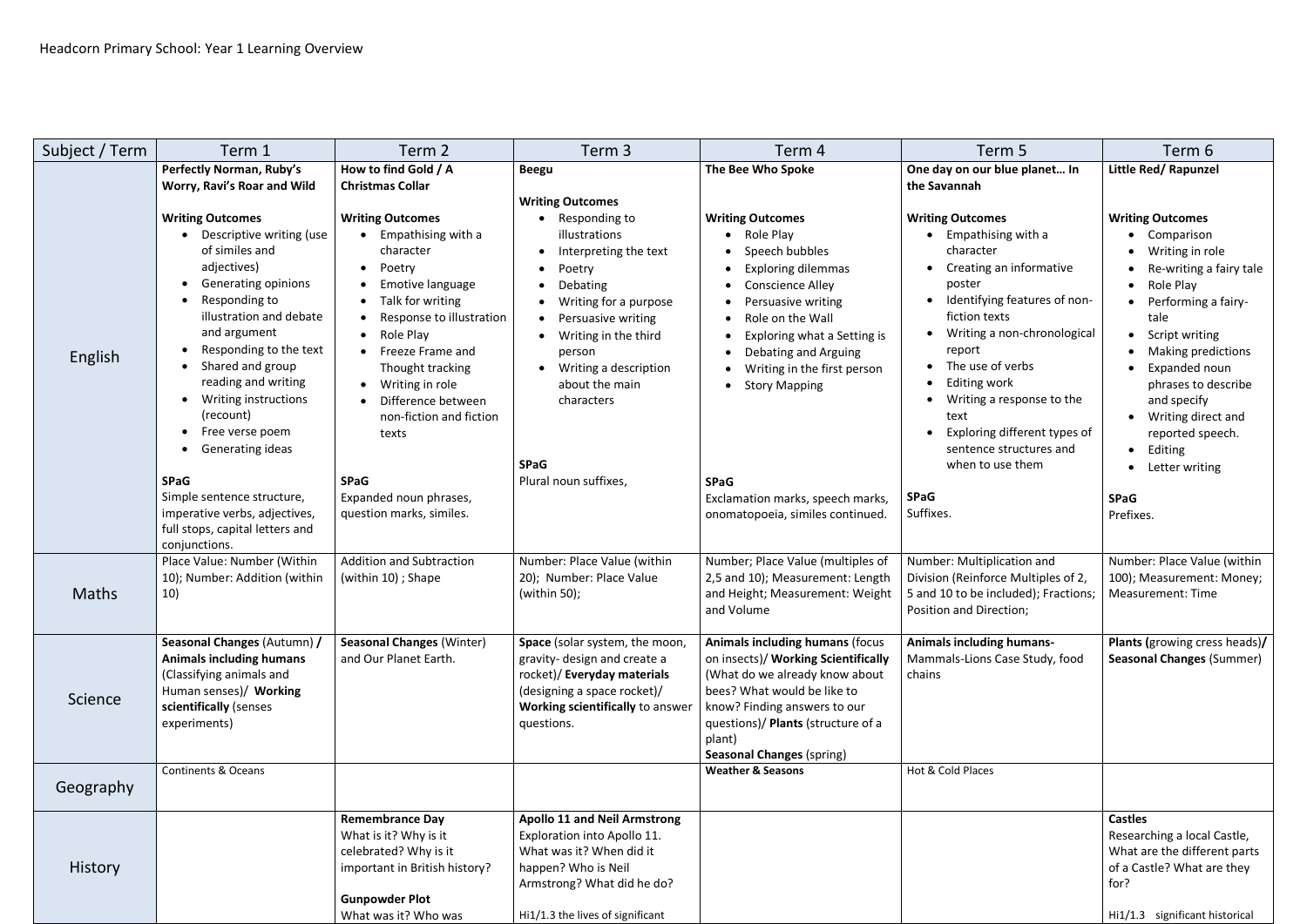| Subject / Term | Term 1                                                                                                                                                                                                                                                                                                                                                                                                                                                                                                                                                                                                                             | Term <sub>2</sub>                                                                                                                                                                                                                                                                                                                                                                     | Term 3                                                                                                                                                                                                                                                                                                     | Term 4                                                                                                                                                                                                                                                                                                                                                                          | Term 5                                                                                                                                                                                                                                                                                                                                                                                                                           | Term 6                                                                                                                                                                                                                        |
|----------------|------------------------------------------------------------------------------------------------------------------------------------------------------------------------------------------------------------------------------------------------------------------------------------------------------------------------------------------------------------------------------------------------------------------------------------------------------------------------------------------------------------------------------------------------------------------------------------------------------------------------------------|---------------------------------------------------------------------------------------------------------------------------------------------------------------------------------------------------------------------------------------------------------------------------------------------------------------------------------------------------------------------------------------|------------------------------------------------------------------------------------------------------------------------------------------------------------------------------------------------------------------------------------------------------------------------------------------------------------|---------------------------------------------------------------------------------------------------------------------------------------------------------------------------------------------------------------------------------------------------------------------------------------------------------------------------------------------------------------------------------|----------------------------------------------------------------------------------------------------------------------------------------------------------------------------------------------------------------------------------------------------------------------------------------------------------------------------------------------------------------------------------------------------------------------------------|-------------------------------------------------------------------------------------------------------------------------------------------------------------------------------------------------------------------------------|
| English        | <b>Perfectly Norman, Ruby's</b><br>Worry, Ravi's Roar and Wild<br><b>Writing Outcomes</b><br>• Descriptive writing (use<br>of similes and<br>adjectives)<br>$\bullet$<br><b>Generating opinions</b><br>$\bullet$<br>Responding to<br>$\bullet$<br>illustration and debate<br>and argument<br>$\bullet$<br>Responding to the text<br>$\bullet$<br>Shared and group<br>reading and writing<br>Writing instructions<br>(recount)<br>Free verse poem<br>$\bullet$<br>Generating ideas<br><b>SPaG</b><br><b>SPaG</b><br>Simple sentence structure,<br>imperative verbs, adjectives,<br>full stops, capital letters and<br>conjunctions. | How to find Gold / A<br><b>Christmas Collar</b><br><b>Writing Outcomes</b><br>Empathising with a<br>character<br>Poetry<br>Emotive language<br>• Talk for writing<br>Response to illustration<br>Role Play<br>Freeze Frame and<br>Thought tracking<br>Writing in role<br>Difference between<br>non-fiction and fiction<br>texts<br>Expanded noun phrases,<br>question marks, similes. | <b>Beegu</b><br><b>Writing Outcomes</b><br>Responding to<br>illustrations<br>Interpreting the text<br>Poetry<br>Debating<br>Writing for a purpose<br>Persuasive writing<br>Writing in the third<br>person<br>Writing a description<br>about the main<br>characters<br><b>SPaG</b><br>Plural noun suffixes, | The Bee Who Spoke<br><b>Writing Outcomes</b><br>• Role Play<br>Speech bubbles<br><b>Exploring dilemmas</b><br><b>Conscience Alley</b><br>Persuasive writing<br>Role on the Wall<br>Exploring what a Setting is<br>Debating and Arguing<br>Writing in the first person<br>• Story Mapping<br><b>SPaG</b><br>Exclamation marks, speech marks,<br>onomatopoeia, similes continued. | One day on our blue planet In<br>the Savannah<br><b>Writing Outcomes</b><br>Empathising with a<br>character<br>Creating an informative<br>poster<br>Identifying features of non-<br>fiction texts<br>Writing a non-chronological<br>report<br>• The use of verbs<br>Editing work<br>Writing a response to the<br>text<br>Exploring different types of<br>sentence structures and<br>when to use them<br><b>SPaG</b><br>Suffixes. | Little Red/ Rapunzel<br><b>Writing Outcomes</b><br>• Comparison<br>Writing in role<br>Re-writing a fairy tale<br>• Role Play<br>• Performing a fairy-                                                                         |
|                |                                                                                                                                                                                                                                                                                                                                                                                                                                                                                                                                                                                                                                    |                                                                                                                                                                                                                                                                                                                                                                                       |                                                                                                                                                                                                                                                                                                            |                                                                                                                                                                                                                                                                                                                                                                                 |                                                                                                                                                                                                                                                                                                                                                                                                                                  | tale<br>• Script writing<br>• Making predictions<br>Expanded noun<br>$\bullet$<br>phrases to describe<br>and specify<br>• Writing direct and<br>reported speech.<br>• Editing<br>• Letter writing<br><b>SPaG</b><br>Prefixes. |
| <b>Maths</b>   | Place Value: Number (Within<br>10); Number: Addition (within<br>10)                                                                                                                                                                                                                                                                                                                                                                                                                                                                                                                                                                | <b>Addition and Subtraction</b><br>(within 10); Shape                                                                                                                                                                                                                                                                                                                                 | Number: Place Value (within<br>20); Number: Place Value<br>(within 50);                                                                                                                                                                                                                                    | Number; Place Value (multiples of<br>2,5 and 10); Measurement: Length<br>and Height; Measurement: Weight<br>and Volume                                                                                                                                                                                                                                                          | Number: Multiplication and<br>Division (Reinforce Multiples of 2,<br>5 and 10 to be included); Fractions;<br>Position and Direction;                                                                                                                                                                                                                                                                                             | Number: Place Value (within<br>100); Measurement: Money;<br>Measurement: Time                                                                                                                                                 |
| Science        | Seasonal Changes (Autumn) /<br><b>Animals including humans</b><br>(Classifying animals and<br>Human senses)/ Working<br>scientifically (senses<br>experiments)                                                                                                                                                                                                                                                                                                                                                                                                                                                                     | <b>Seasonal Changes (Winter)</b><br>and Our Planet Earth.                                                                                                                                                                                                                                                                                                                             | Space (solar system, the moon,<br>gravity-design and create a<br>rocket)/ Everyday materials<br>(designing a space rocket)/<br>Working scientifically to answer<br>questions.                                                                                                                              | <b>Animals including humans (focus</b><br>on insects)/ Working Scientifically<br>(What do we already know about<br>bees? What would be like to<br>know? Finding answers to our<br>questions)/ Plants (structure of a<br>plant)<br><b>Seasonal Changes (spring)</b>                                                                                                              | <b>Animals including humans-</b><br>Mammals-Lions Case Study, food<br>chains                                                                                                                                                                                                                                                                                                                                                     | Plants (growing cress heads)/<br><b>Seasonal Changes (Summer)</b>                                                                                                                                                             |
| Geography      | <b>Continents &amp; Oceans</b>                                                                                                                                                                                                                                                                                                                                                                                                                                                                                                                                                                                                     |                                                                                                                                                                                                                                                                                                                                                                                       |                                                                                                                                                                                                                                                                                                            | <b>Weather &amp; Seasons</b>                                                                                                                                                                                                                                                                                                                                                    | Hot & Cold Places                                                                                                                                                                                                                                                                                                                                                                                                                |                                                                                                                                                                                                                               |
| <b>History</b> |                                                                                                                                                                                                                                                                                                                                                                                                                                                                                                                                                                                                                                    | <b>Remembrance Day</b><br>What is it? Why is it<br>celebrated? Why is it<br>important in British history?<br><b>Gunpowder Plot</b><br>What was it? Who was                                                                                                                                                                                                                            | <b>Apollo 11 and Neil Armstrong</b><br>Exploration into Apollo 11.<br>What was it? When did it<br>happen? Who is Neil<br>Armstrong? What did he do?<br>Hi1/1.3 the lives of significant                                                                                                                    |                                                                                                                                                                                                                                                                                                                                                                                 |                                                                                                                                                                                                                                                                                                                                                                                                                                  | <b>Castles</b><br>Researching a local Castle,<br>What are the different parts<br>of a Castle? What are they<br>for?<br>Hi1/1.3 significant historical                                                                         |